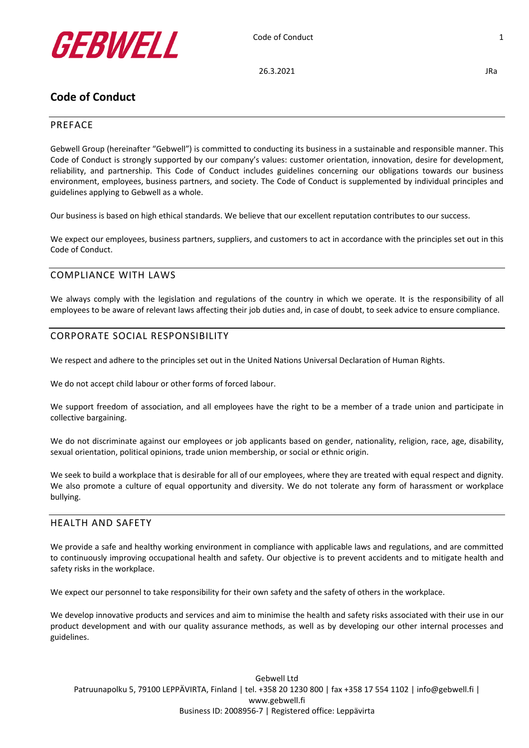

26.3.2021 JRa

# **Code of Conduct**

# PREFACE

Gebwell Group (hereinafter "Gebwell") is committed to conducting its business in a sustainable and responsible manner. This Code of Conduct is strongly supported by our company's values: customer orientation, innovation, desire for development, reliability, and partnership. This Code of Conduct includes guidelines concerning our obligations towards our business environment, employees, business partners, and society. The Code of Conduct is supplemented by individual principles and guidelines applying to Gebwell as a whole.

Our business is based on high ethical standards. We believe that our excellent reputation contributes to our success.

We expect our employees, business partners, suppliers, and customers to act in accordance with the principles set out in this Code of Conduct.

# COMPLIANCE WITH LAWS

We always comply with the legislation and regulations of the country in which we operate. It is the responsibility of all employees to be aware of relevant laws affecting their job duties and, in case of doubt, to seek advice to ensure compliance.

# CORPORATE SOCIAL RESPONSIBILITY

We respect and adhere to the principles set out in the United Nations Universal Declaration of Human Rights.

We do not accept child labour or other forms of forced labour.

We support freedom of association, and all employees have the right to be a member of a trade union and participate in collective bargaining.

We do not discriminate against our employees or job applicants based on gender, nationality, religion, race, age, disability, sexual orientation, political opinions, trade union membership, or social or ethnic origin.

We seek to build a workplace that is desirable for all of our employees, where they are treated with equal respect and dignity. We also promote a culture of equal opportunity and diversity. We do not tolerate any form of harassment or workplace bullying.

# HEALTH AND SAFETY

We provide a safe and healthy working environment in compliance with applicable laws and regulations, and are committed to continuously improving occupational health and safety. Our objective is to prevent accidents and to mitigate health and safety risks in the workplace.

We expect our personnel to take responsibility for their own safety and the safety of others in the workplace.

We develop innovative products and services and aim to minimise the health and safety risks associated with their use in our product development and with our quality assurance methods, as well as by developing our other internal processes and guidelines.

Gebwell Ltd Patruunapolku 5, 79100 LEPPÄVIRTA, Finland | tel. +358 20 1230 800 | fax +358 17 554 1102 | info@gebwell.fi | www.gebwell.fi Business ID: 2008956-7 | Registered office: Leppävirta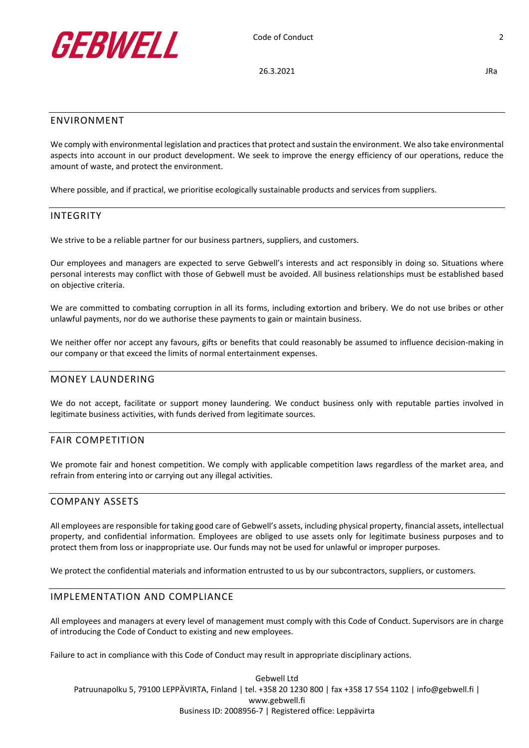

26.3.2021 JRa

#### ENVIRONMENT

We comply with environmental legislation and practices that protect and sustain the environment. We also take environmental aspects into account in our product development. We seek to improve the energy efficiency of our operations, reduce the amount of waste, and protect the environment.

Where possible, and if practical, we prioritise ecologically sustainable products and services from suppliers.

#### INTEGRITY

We strive to be a reliable partner for our business partners, suppliers, and customers.

Our employees and managers are expected to serve Gebwell's interests and act responsibly in doing so. Situations where personal interests may conflict with those of Gebwell must be avoided. All business relationships must be established based on objective criteria.

We are committed to combating corruption in all its forms, including extortion and bribery. We do not use bribes or other unlawful payments, nor do we authorise these payments to gain or maintain business.

We neither offer nor accept any favours, gifts or benefits that could reasonably be assumed to influence decision-making in our company or that exceed the limits of normal entertainment expenses.

#### MONEY LAUNDERING

We do not accept, facilitate or support money laundering. We conduct business only with reputable parties involved in legitimate business activities, with funds derived from legitimate sources.

#### FAIR COMPETITION

We promote fair and honest competition. We comply with applicable competition laws regardless of the market area, and refrain from entering into or carrying out any illegal activities.

### COMPANY ASSETS

All employees are responsible for taking good care of Gebwell's assets, including physical property, financial assets, intellectual property, and confidential information. Employees are obliged to use assets only for legitimate business purposes and to protect them from loss or inappropriate use. Our funds may not be used for unlawful or improper purposes.

We protect the confidential materials and information entrusted to us by our subcontractors, suppliers, or customers.

#### IMPLEMENTATION AND COMPLIANCE

All employees and managers at every level of management must comply with this Code of Conduct. Supervisors are in charge of introducing the Code of Conduct to existing and new employees.

Failure to act in compliance with this Code of Conduct may result in appropriate disciplinary actions.

Gebwell Ltd Patruunapolku 5, 79100 LEPPÄVIRTA, Finland | tel. +358 20 1230 800 | fax +358 17 554 1102 | info@gebwell.fi | www.gebwell.fi Business ID: 2008956-7 | Registered office: Leppävirta